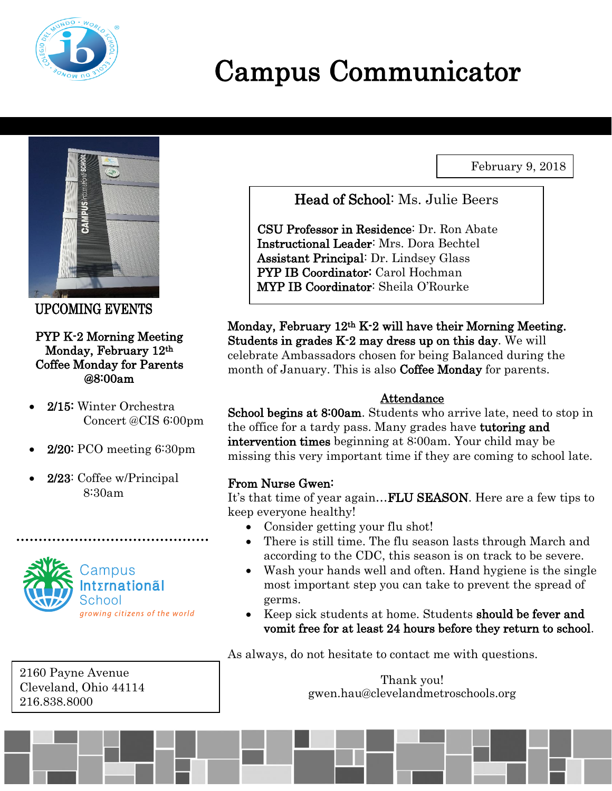

# Campus Communicator

February 9, 2018



UPCOMING EVENTS

#### PYP K-2 Morning Meeting Monday, February 12th Coffee Monday for Parents @8:00am

- 2/15: Winter Orchestra Concert @CIS 6:00pm
- 2/20: PCO meeting 6:30pm
- 2/23: Coffee w/Principal 8:30am



2160 Payne Avenue Cleveland, Ohio 44114 216.838.8000

Head of School: Ms. Julie Beers

CSU Professor in Residence: Dr. Ron Abate Instructional Leader: Mrs. Dora Bechtel Assistant Principal: Dr. Lindsey Glass PYP IB Coordinator: Carol Hochman MYP IB Coordinator: Sheila O'Rourke

Monday, February 12th K-2 will have their Morning Meeting. Students in grades K-2 may dress up on this day. We will celebrate Ambassadors chosen for being Balanced during the month of January. This is also **Coffee Monday** for parents.

## Attendance

School begins at 8:00am. Students who arrive late, need to stop in the office for a tardy pass. Many grades have tutoring and intervention times beginning at 8:00am. Your child may be missing this very important time if they are coming to school late.

## From Nurse Gwen:

It's that time of year again...**FLU SEASON**. Here are a few tips to keep everyone healthy!

- Consider getting your flu shot!
- There is still time. The flu season lasts through March and according to the CDC, this season is on track to be severe.
- Wash your hands well and often. Hand hygiene is the single most important step you can take to prevent the spread of germs.
- Keep sick students at home. Students should be fever and vomit free for at least 24 hours before they return to school.

As always, do not hesitate to contact me with questions.

Thank you! gwen.hau@clevelandmetroschools.org